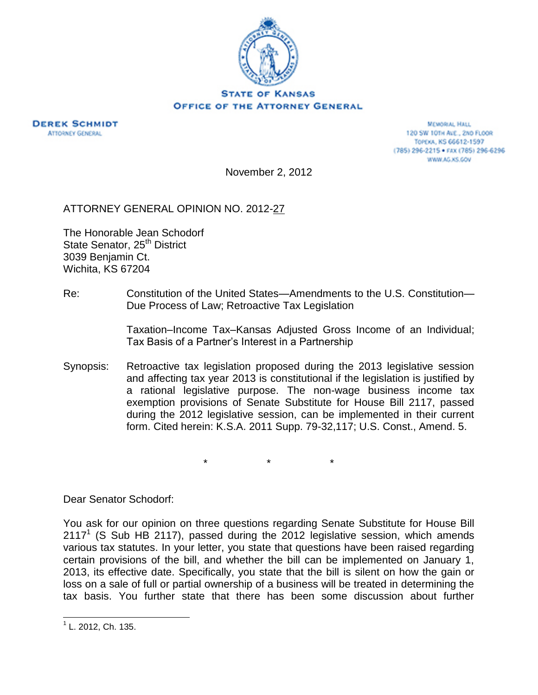

## **STATE OF KANSAS OFFICE OF THE ATTORNEY GENERAL**



**MEMORIAL HALL** 120 SW 10TH AVE., 2ND FLOOR TOPEKA, KS 66612-1597 (785) 296-2215 · FAX (785) 296-6296 WWW.AG.KS.GOV

November 2, 2012

ATTORNEY GENERAL OPINION NO. 2012-27

The Honorable Jean Schodorf State Senator, 25<sup>th</sup> District 3039 Benjamin Ct. Wichita, KS 67204

Re: Constitution of the United States—Amendments to the U.S. Constitution— Due Process of Law; Retroactive Tax Legislation

> Taxation–Income Tax–Kansas Adjusted Gross Income of an Individual; Tax Basis of a Partner's Interest in a Partnership

Synopsis: Retroactive tax legislation proposed during the 2013 legislative session and affecting tax year 2013 is constitutional if the legislation is justified by a rational legislative purpose. The non-wage business income tax exemption provisions of Senate Substitute for House Bill 2117, passed during the 2012 legislative session, can be implemented in their current form. Cited herein: K.S.A. 2011 Supp. 79-32,117; U.S. Const., Amend. 5.

\* \* \*

Dear Senator Schodorf:

You ask for our opinion on three questions regarding Senate Substitute for House Bill 2117<sup>1</sup> (S Sub HB 2117), passed during the 2012 legislative session, which amends various tax statutes. In your letter, you state that questions have been raised regarding certain provisions of the bill, and whether the bill can be implemented on January 1, 2013, its effective date. Specifically, you state that the bill is silent on how the gain or loss on a sale of full or partial ownership of a business will be treated in determining the tax basis. You further state that there has been some discussion about further

<sup>&</sup>lt;sup>1</sup> L. 2012, Ch. 135.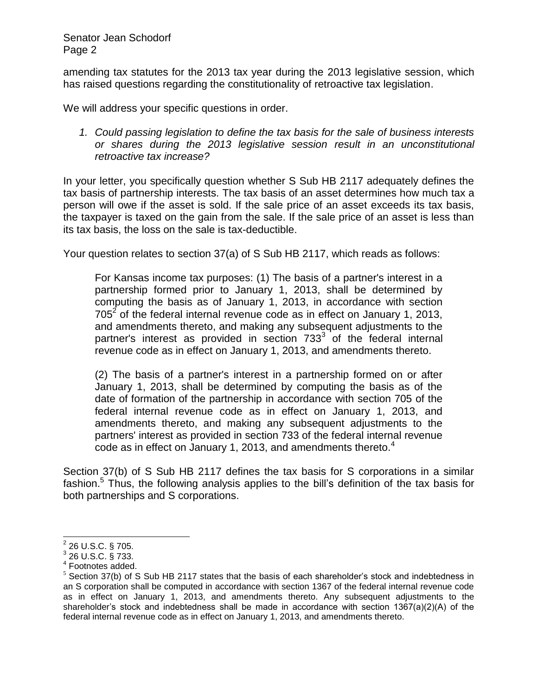amending tax statutes for the 2013 tax year during the 2013 legislative session, which has raised questions regarding the constitutionality of retroactive tax legislation.

We will address your specific questions in order.

*1. Could passing legislation to define the tax basis for the sale of business interests or shares during the 2013 legislative session result in an unconstitutional retroactive tax increase?*

In your letter, you specifically question whether S Sub HB 2117 adequately defines the tax basis of partnership interests. The tax basis of an asset determines how much tax a person will owe if the asset is sold. If the sale price of an asset exceeds its tax basis, the taxpayer is taxed on the gain from the sale. If the sale price of an asset is less than its tax basis, the loss on the sale is tax-deductible.

Your question relates to section 37(a) of S Sub HB 2117, which reads as follows:

For Kansas income tax purposes: (1) The basis of a partner's interest in a partnership formed prior to January 1, 2013, shall be determined by computing the basis as of January 1, 2013, in accordance with section  $705<sup>2</sup>$  of the federal internal revenue code as in effect on January 1, 2013, and amendments thereto, and making any subsequent adjustments to the partner's interest as provided in section  $733<sup>3</sup>$  of the federal internal revenue code as in effect on January 1, 2013, and amendments thereto.

(2) The basis of a partner's interest in a partnership formed on or after January 1, 2013, shall be determined by computing the basis as of the date of formation of the partnership in accordance with section 705 of the federal internal revenue code as in effect on January 1, 2013, and amendments thereto, and making any subsequent adjustments to the partners' interest as provided in section 733 of the federal internal revenue code as in effect on January 1, 2013, and amendments thereto.<sup>4</sup>

Section 37(b) of S Sub HB 2117 defines the tax basis for S corporations in a similar fashion.<sup>5</sup> Thus, the following analysis applies to the bill's definition of the tax basis for both partnerships and S corporations.

 $\overline{a}$ 

 $^{2}$  26 U.S.C. § 705.

<sup>3</sup> 26 U.S.C. § 733.

<sup>4</sup> Footnotes added.

 $<sup>5</sup>$  Section 37(b) of S Sub HB 2117 states that the basis of each shareholder's stock and indebtedness in</sup> an S corporation shall be computed in accordance with section 1367 of the federal internal revenue code as in effect on January 1, 2013, and amendments thereto. Any subsequent adjustments to the shareholder's stock and indebtedness shall be made in accordance with section 1367(a)(2)(A) of the federal internal revenue code as in effect on January 1, 2013, and amendments thereto.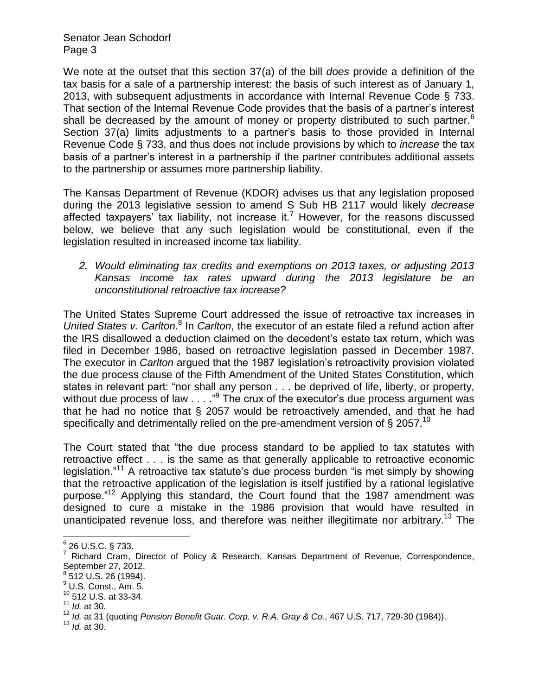We note at the outset that this section 37(a) of the bill *does* provide a definition of the tax basis for a sale of a partnership interest: the basis of such interest as of January 1, 2013, with subsequent adjustments in accordance with Internal Revenue Code § 733. That section of the Internal Revenue Code provides that the basis of a partner's interest shall be decreased by the amount of money or property distributed to such partner.<sup>6</sup> Section 37(a) limits adjustments to a partner's basis to those provided in Internal Revenue Code § 733, and thus does not include provisions by which to *increase* the tax basis of a partner's interest in a partnership if the partner contributes additional assets to the partnership or assumes more partnership liability.

The Kansas Department of Revenue (KDOR) advises us that any legislation proposed during the 2013 legislative session to amend S Sub HB 2117 would likely *decrease* affected taxpayers' tax liability, not increase it.<sup>7</sup> However, for the reasons discussed below, we believe that any such legislation would be constitutional, even if the legislation resulted in increased income tax liability.

*2. Would eliminating tax credits and exemptions on 2013 taxes, or adjusting 2013 Kansas income tax rates upward during the 2013 legislature be an unconstitutional retroactive tax increase?*

The United States Supreme Court addressed the issue of retroactive tax increases in United States v. Carlton.<sup>8</sup> In Carlton, the executor of an estate filed a refund action after the IRS disallowed a deduction claimed on the decedent's estate tax return, which was filed in December 1986, based on retroactive legislation passed in December 1987. The executor in *Carlton* argued that the 1987 legislation's retroactivity provision violated the due process clause of the Fifth Amendment of the United States Constitution, which states in relevant part: "nor shall any person . . . be deprived of life, liberty, or property, without due process of law  $\ldots$  ." The crux of the executor's due process argument was that he had no notice that § 2057 would be retroactively amended, and that he had specifically and detrimentally relied on the pre-amendment version of  $\frac{6}{9}$  2057.<sup>10</sup>

The Court stated that "the due process standard to be applied to tax statutes with retroactive effect . . . is the same as that generally applicable to retroactive economic legislation."<sup>11</sup> A retroactive tax statute's due process burden "is met simply by showing that the retroactive application of the legislation is itself justified by a rational legislative purpose."<sup>12</sup> Applying this standard, the Court found that the 1987 amendment was designed to cure a mistake in the 1986 provision that would have resulted in unanticipated revenue loss, and therefore was neither illegitimate nor arbitrary.<sup>13</sup> The

<sup>13</sup> *Id.* at 30.

<sup>&</sup>lt;u>。</u><br><sup>6</sup> 26 U.S.C. § 733.

<sup>7</sup> Richard Cram, Director of Policy & Research, Kansas Department of Revenue, Correspondence, September 27, 2012.

<sup>8</sup> 512 U.S. 26 (1994).

 $<sup>9</sup>$  U.S. Const., Am. 5.</sup>

<sup>10</sup> 512 U.S. at 33-34.

<sup>11</sup> *Id.* at 30.

<sup>12</sup> *Id.* at 31 (quoting *Pension Benefit Guar. Corp. v. R.A. Gray & Co.*, 467 U.S. 717, 729-30 (1984)).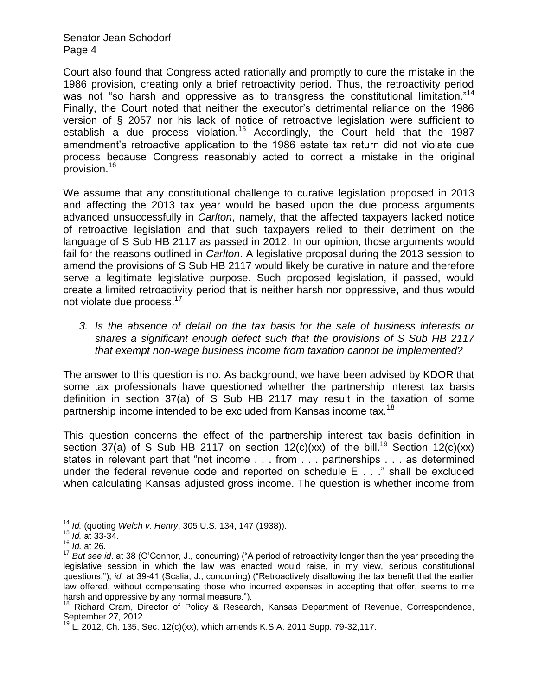Court also found that Congress acted rationally and promptly to cure the mistake in the 1986 provision, creating only a brief retroactivity period. Thus, the retroactivity period was not "so harsh and oppressive as to transgress the constitutional limitation."<sup>14</sup> Finally, the Court noted that neither the executor's detrimental reliance on the 1986 version of § 2057 nor his lack of notice of retroactive legislation were sufficient to establish a due process violation.<sup>15</sup> Accordingly, the Court held that the 1987 amendment's retroactive application to the 1986 estate tax return did not violate due process because Congress reasonably acted to correct a mistake in the original .<br>provision.<sup>16</sup>

We assume that any constitutional challenge to curative legislation proposed in 2013 and affecting the 2013 tax year would be based upon the due process arguments advanced unsuccessfully in *Carlton*, namely, that the affected taxpayers lacked notice of retroactive legislation and that such taxpayers relied to their detriment on the language of S Sub HB 2117 as passed in 2012. In our opinion, those arguments would fail for the reasons outlined in *Carlton*. A legislative proposal during the 2013 session to amend the provisions of S Sub HB 2117 would likely be curative in nature and therefore serve a legitimate legislative purpose. Such proposed legislation, if passed, would create a limited retroactivity period that is neither harsh nor oppressive, and thus would not violate due process.<sup>17</sup>

*3. Is the absence of detail on the tax basis for the sale of business interests or shares a significant enough defect such that the provisions of S Sub HB 2117 that exempt non-wage business income from taxation cannot be implemented?*

The answer to this question is no. As background, we have been advised by KDOR that some tax professionals have questioned whether the partnership interest tax basis definition in section 37(a) of S Sub HB 2117 may result in the taxation of some partnership income intended to be excluded from Kansas income tax.<sup>18</sup>

This question concerns the effect of the partnership interest tax basis definition in section 37(a) of S Sub HB 2117 on section 12(c)(xx) of the bill.<sup>19</sup> Section 12(c)(xx) states in relevant part that "net income . . . from . . . partnerships . . . as determined under the federal revenue code and reported on schedule E . . ." shall be excluded when calculating Kansas adjusted gross income. The question is whether income from

 $\overline{\phantom{a}}$ 

<sup>14</sup> *Id.* (quoting *Welch v. Henry*, 305 U.S. 134, 147 (1938)).

<sup>15</sup> *Id.* at 33-34.

<sup>16</sup> *Id.* at 26.

<sup>&</sup>lt;sup>17</sup> But see id. at 38 (O'Connor, J., concurring) ("A period of retroactivity longer than the year preceding the legislative session in which the law was enacted would raise, in my view, serious constitutional questions."); *id.* at 39-41 (Scalia, J., concurring) ("Retroactively disallowing the tax benefit that the earlier law offered, without compensating those who incurred expenses in accepting that offer, seems to me harsh and oppressive by any normal measure.").

<sup>&</sup>lt;sup>18</sup> Richard Cram, Director of Policy & Research, Kansas Department of Revenue, Correspondence, September 27, 2012.

L. 2012, Ch. 135, Sec. 12(c)(xx), which amends K.S.A. 2011 Supp. 79-32,117.